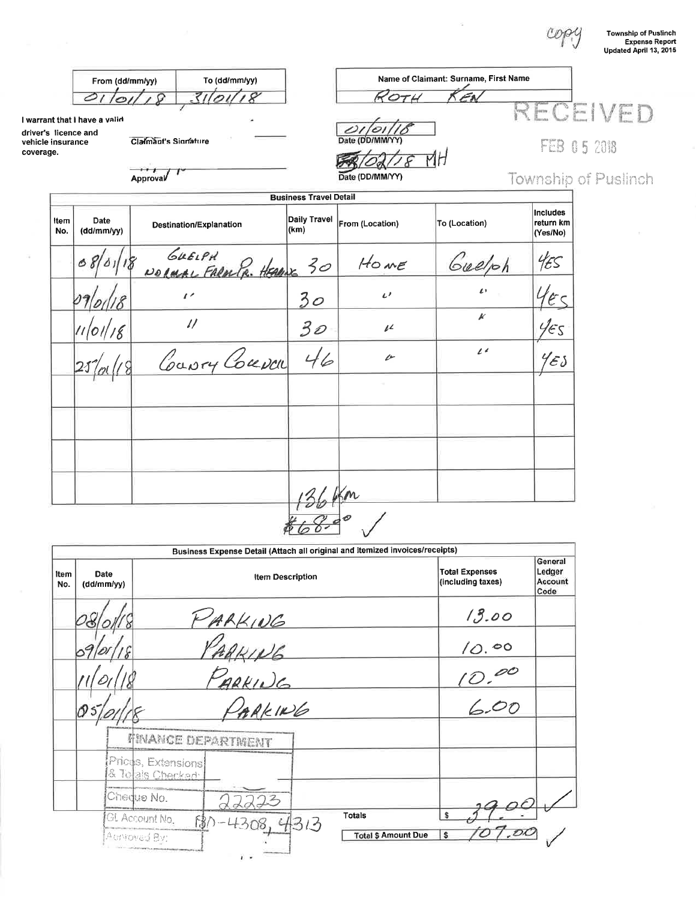copy

 $\overline{\phantom{a}}$ 

| <b>Township of Puslinch</b> |
|-----------------------------|
| <b>Expense Report</b>       |
| Updated April 13, 2015      |

|                   | From (dd/mm/yy)                                       |                      | To (dd/mm/yy)                       | Name of Claimant: Surname, First Name |                 |                     |                                          |             |
|-------------------|-------------------------------------------------------|----------------------|-------------------------------------|---------------------------------------|-----------------|---------------------|------------------------------------------|-------------|
|                   | 01                                                    |                      | 310118                              |                                       | ROTH            |                     | RECEIVED                                 |             |
| vehicle insurance | I warrant that I have a valid<br>driver's licence and | Claimant's Signature |                                     |                                       | Date (DD/MM/YY) |                     |                                          |             |
| coverage.         |                                                       |                      |                                     |                                       |                 |                     |                                          | FEB 05 2018 |
|                   |                                                       | Approval             |                                     |                                       | Date (DD/MM/YY) |                     | <b>Township of Puslinch</b>              |             |
|                   |                                                       |                      |                                     | <b>Business Travel Detail</b>         |                 |                     |                                          |             |
| Item<br>No.       | Date<br>(ddm m/yy)                                    |                      | Destination/Explanation             | Daily Travel<br>(km)                  | From (Location) | To (Location)       | <b>Includes</b><br>return km<br>(Yes/No) |             |
|                   |                                                       |                      | GUELPH<br>NORMAL FARMPR. HEADING 30 |                                       | HOME            | Guelph              | 455                                      |             |
|                   |                                                       |                      | $\mathbf{r}$                        | 30                                    | $\iota$         | $\iota$             | $4\varepsilon$                           |             |
|                   | 11 01 18                                              |                      | $\frac{1}{2}$                       | 30                                    | $\mu$           | $\pmb{\mathcal{K}}$ | 455                                      |             |
|                   |                                                       |                      | Coury Couva                         | 46                                    | $\mathscr{P}$   | $l^{\prime}$        | $\%$ s                                   |             |
|                   |                                                       |                      |                                     |                                       |                 |                     |                                          |             |
|                   |                                                       |                      |                                     |                                       |                 |                     |                                          |             |
|                   |                                                       |                      |                                     |                                       |                 |                     |                                          |             |
|                   |                                                       |                      |                                     | 136 Km                                |                 |                     |                                          |             |
|                   |                                                       |                      |                                     |                                       |                 |                     |                                          |             |

|             |                    |                                        | Business Expense Detail (Attach all original and itemized invoices/receipts) |                                            |                                       |       |  |
|-------------|--------------------|----------------------------------------|------------------------------------------------------------------------------|--------------------------------------------|---------------------------------------|-------|--|
| Item<br>No. | Date<br>(ddm m/yy) |                                        |                                                                              | <b>Total Expenses</b><br>(including taxes) |                                       |       |  |
|             |                    |                                        |                                                                              | 13.00                                      |                                       |       |  |
|             |                    |                                        | ARKING                                                                       |                                            |                                       | 10.00 |  |
|             |                    |                                        |                                                                              | $\mathscr{O} \mathscr{O}$<br><u>'D.</u>    |                                       |       |  |
|             |                    |                                        | ARKING<br>PARKING                                                            |                                            |                                       | 6.00  |  |
|             |                    | <b>FINANCE DEPARTMENT</b>              |                                                                              |                                            |                                       |       |  |
|             |                    | Prices, Extensions<br>& To als Checked |                                                                              |                                            |                                       |       |  |
|             |                    | Chedue No.                             |                                                                              |                                            |                                       |       |  |
|             |                    | GL Account No.<br>AdNoved By:          |                                                                              | <b>Totals</b><br>313                       | \$<br><b>Total \$ Amount Due</b><br>s |       |  |